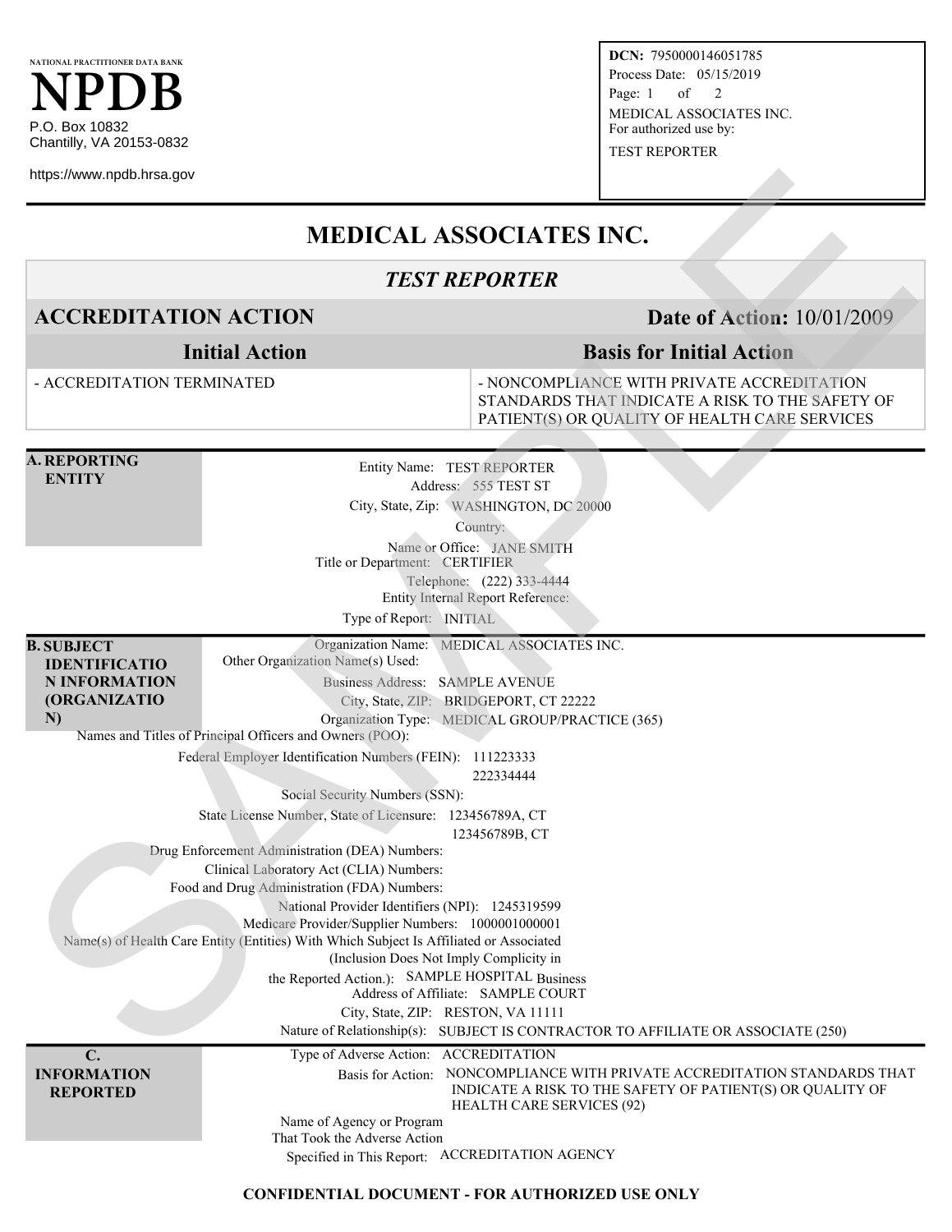

https://www.npdb.hrsa.gov

**DCN:** 7950000146051785 Process Date: 05/15/2019 Page:  $1$  of  $2$ MEDICAL ASSOCIATES INC. For authorized use by: TEST REPORTER

## **MEDICAL ASSOCIATES INC.**

## *TEST REPORTER*

**ACCREDITATION ACTION Date of Action:** 10/01/2009

**Initial Action**

## **Basis for Initial Action**

- ACCREDITATION TERMINATED

- NONCOMPLIANCE WITH PRIVATE ACCREDITATION STANDARDS THAT INDICATE A RISK TO THE SAFETY OF PATIENT(S) OR QUALITY OF HEALTH CARE SERVICES **SECOND ACTION**<br>
SECOND TRIP ACTION<br>
TEST REPORTER<br>
SAMPLES INC.<br>
ACCREDITATION ACTION<br>
Initial Action<br>
- ACCREDITATION ACTION<br>
Initial Action<br>
- ACCREDITATION ELEVATADE IS NOT THE SAME OF THE ACTION<br>
- ACCREDITATION TERM

| A. REPORTING |
|--------------|
| ENTITY       |

Entity Name: TEST REPORTER Address: 555 TEST ST City, State, Zip: WASHINGTON, DC 20000

Country:

Name or Office: JANE SMITH Title or Department: CERTIFIER Telephone: (222) 333-4444 Entity Internal Report Reference:

Type of Report: INITIAL

**B. SUBJECT IDENTIFICATIO** Organization Name: MEDICAL ASSOCIATES INC. Other Organization Name(s) Used: Business Address: SAMPLE AVENUE

**N INFORMATION (ORGANIZATIO N)**

Organization Type: MEDICAL GROUP/PRACTICE (365) Names and Titles of Principal Officers and Owners (POO):

Federal Employer Identification Numbers (FEIN): 111223333

City, State, ZIP: BRIDGEPORT, CT 22222

222334444

Social Security Numbers (SSN):

State License Number, State of Licensure: 123456789A, CT

123456789B, CT

Drug Enforcement Administration (DEA) Numbers:

Clinical Laboratory Act (CLIA) Numbers:

Food and Drug Administration (FDA) Numbers:

National Provider Identifiers (NPI): 1245319599 Medicare Provider/Supplier Numbers: 1000001000001

Name(s) of Health Care Entity (Entities) With Which Subject Is Affiliated or Associated

(Inclusion Does Not Imply Complicity in

the Reported Action.): SAMPLE HOSPITAL Business

Address of Affiliate: SAMPLE COURT

City, State, ZIP: RESTON, VA 11111

Nature of Relationship(s): SUBJECT IS CONTRACTOR TO AFFILIATE OR ASSOCIATE (250)

**C. INFORMATION REPORTED**

Type of Adverse Action: ACCREDITATION Basis for Action: NONCOMPLIANCE WITH PRIVATE ACCREDITATION STANDARDS THAT INDICATE A RISK TO THE SAFETY OF PATIENT(S) OR QUALITY OF HEALTH CARE SERVICES (92) Name of Agency or Program

That Took the Adverse Action

Specified in This Report: ACCREDITATION AGENCY